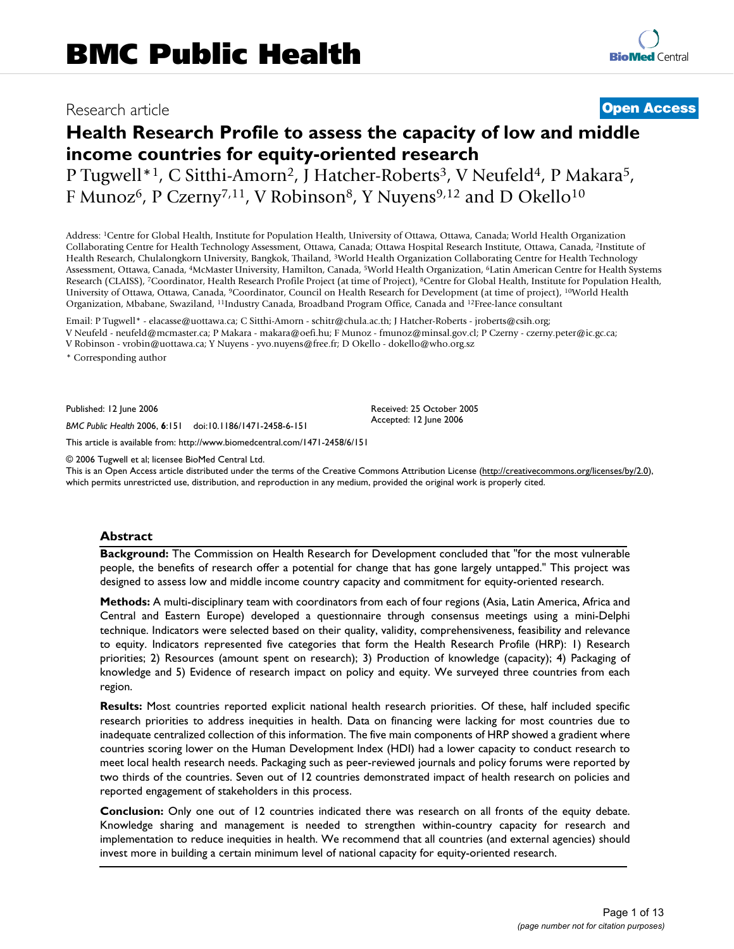## Research article **[Open Access](http://www.biomedcentral.com/info/about/charter/)**

# **Health Research Profile to assess the capacity of low and middle income countries for equity-oriented research**

P Tugwell\*<sup>1</sup>, C Sitthi-Amorn<sup>2</sup>, J Hatcher-Roberts<sup>3</sup>, V Neufeld<sup>4</sup>, P Makara<sup>5</sup>, F Munoz<sup>6</sup>, P Czerny<sup>7,11</sup>, V Robinson<sup>8</sup>, Y Nuyens<sup>9,12</sup> and D Okello<sup>10</sup>

Address: 1Centre for Global Health, Institute for Population Health, University of Ottawa, Ottawa, Canada; World Health Organization Collaborating Centre for Health Technology Assessment, Ottawa, Canada; Ottawa Hospital Research Institute, Ottawa, Canada, 2Institute of Health Research, Chulalongkorn University, Bangkok, Thailand, 3World Health Organization Collaborating Centre for Health Technology Assessment, Ottawa, Canada, 4McMaster University, Hamilton, Canada, 5World Health Organization, 6Latin American Centre for Health Systems Research (CLAISS), 7Coordinator, Health Research Profile Project (at time of Project), 8Centre for Global Health, Institute for Population Health, University of Ottawa, Ottawa, Canada, 9Coordinator, Council on Health Research for Development (at time of project), 10World Health Organization, Mbabane, Swaziland, 11Industry Canada, Broadband Program Office, Canada and 12Free-lance consultant

Email: P Tugwell\* - elacasse@uottawa.ca; C Sitthi-Amorn - schitr@chula.ac.th; J Hatcher-Roberts - jroberts@csih.org; V Neufeld - neufeld@mcmaster.ca; P Makara - makara@oefi.hu; F Munoz - fmunoz@minsal.gov.cl; P Czerny - czerny.peter@ic.gc.ca; V Robinson - vrobin@uottawa.ca; Y Nuyens - yvo.nuyens@free.fr; D Okello - dokello@who.org.sz

\* Corresponding author

Published: 12 June 2006

*BMC Public Health* 2006, **6**:151 doi:10.1186/1471-2458-6-151

[This article is available from: http://www.biomedcentral.com/1471-2458/6/151](http://www.biomedcentral.com/1471-2458/6/151)

© 2006 Tugwell et al; licensee BioMed Central Ltd.

This is an Open Access article distributed under the terms of the Creative Commons Attribution License [\(http://creativecommons.org/licenses/by/2.0\)](http://creativecommons.org/licenses/by/2.0), which permits unrestricted use, distribution, and reproduction in any medium, provided the original work is properly cited.

Received: 25 October 2005 Accepted: 12 June 2006

### **Abstract**

**Background:** The Commission on Health Research for Development concluded that "for the most vulnerable people, the benefits of research offer a potential for change that has gone largely untapped." This project was designed to assess low and middle income country capacity and commitment for equity-oriented research.

**Methods:** A multi-disciplinary team with coordinators from each of four regions (Asia, Latin America, Africa and Central and Eastern Europe) developed a questionnaire through consensus meetings using a mini-Delphi technique. Indicators were selected based on their quality, validity, comprehensiveness, feasibility and relevance to equity. Indicators represented five categories that form the Health Research Profile (HRP): 1) Research priorities; 2) Resources (amount spent on research); 3) Production of knowledge (capacity); 4) Packaging of knowledge and 5) Evidence of research impact on policy and equity. We surveyed three countries from each region.

**Results:** Most countries reported explicit national health research priorities. Of these, half included specific research priorities to address inequities in health. Data on financing were lacking for most countries due to inadequate centralized collection of this information. The five main components of HRP showed a gradient where countries scoring lower on the Human Development Index (HDI) had a lower capacity to conduct research to meet local health research needs. Packaging such as peer-reviewed journals and policy forums were reported by two thirds of the countries. Seven out of 12 countries demonstrated impact of health research on policies and reported engagement of stakeholders in this process.

**Conclusion:** Only one out of 12 countries indicated there was research on all fronts of the equity debate. Knowledge sharing and management is needed to strengthen within-country capacity for research and implementation to reduce inequities in health. We recommend that all countries (and external agencies) should invest more in building a certain minimum level of national capacity for equity-oriented research.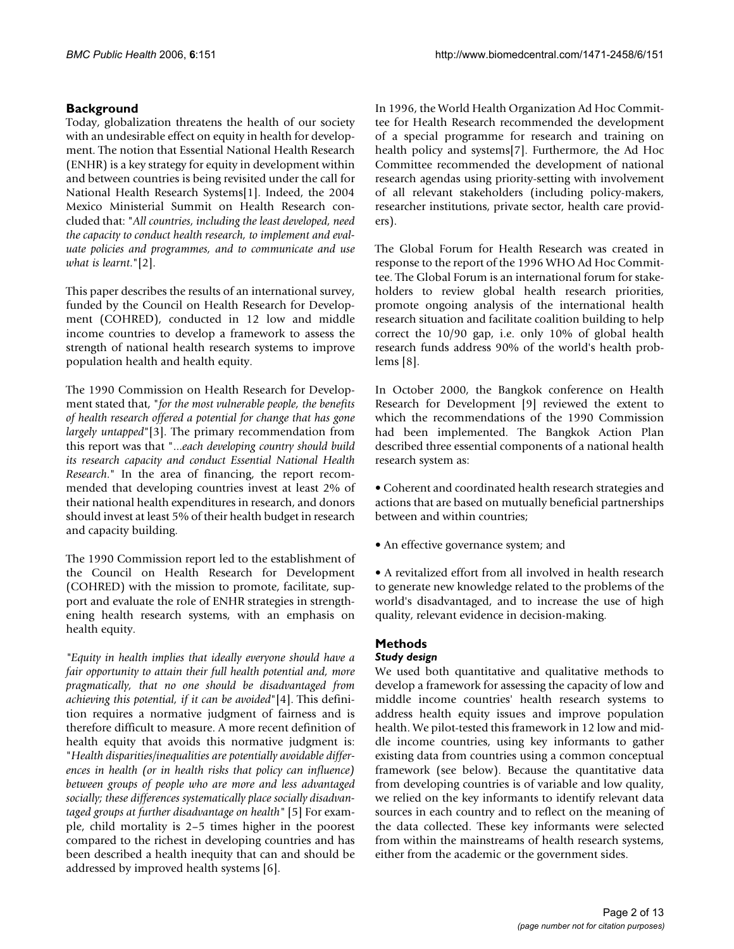### **Background**

Today, globalization threatens the health of our society with an undesirable effect on equity in health for development. The notion that Essential National Health Research (ENHR) is a key strategy for equity in development within and between countries is being revisited under the call for National Health Research Systems[1]. Indeed, the 2004 Mexico Ministerial Summit on Health Research concluded that: "*All countries, including the least developed, need the capacity to conduct health research, to implement and evaluate policies and programmes, and to communicate and use what is learnt*."[2].

This paper describes the results of an international survey, funded by the Council on Health Research for Development (COHRED), conducted in 12 low and middle income countries to develop a framework to assess the strength of national health research systems to improve population health and health equity.

The 1990 Commission on Health Research for Development stated that, "*for the most vulnerable people, the benefits of health research offered a potential for change that has gone largely untapped*"[3]. The primary recommendation from this report was that "...*each developing country should build its research capacity and conduct Essential National Health Research*." In the area of financing, the report recommended that developing countries invest at least 2% of their national health expenditures in research, and donors should invest at least 5% of their health budget in research and capacity building.

The 1990 Commission report led to the establishment of the Council on Health Research for Development (COHRED) with the mission to promote, facilitate, support and evaluate the role of ENHR strategies in strengthening health research systems, with an emphasis on health equity.

*"Equity in health implies that ideally everyone should have a fair opportunity to attain their full health potential and, more pragmatically, that no one should be disadvantaged from achieving this potential, if it can be avoided*"[4]. This definition requires a normative judgment of fairness and is therefore difficult to measure. A more recent definition of health equity that avoids this normative judgment is: "*Health disparities/inequalities are potentially avoidable differences in health (or in health risks that policy can influence) between groups of people who are more and less advantaged socially; these differences systematically place socially disadvantaged groups at further disadvantage on health"* [5] For example, child mortality is 2–5 times higher in the poorest compared to the richest in developing countries and has been described a health inequity that can and should be addressed by improved health systems [6].

In 1996, the World Health Organization Ad Hoc Committee for Health Research recommended the development of a special programme for research and training on health policy and systems[7]. Furthermore, the Ad Hoc Committee recommended the development of national research agendas using priority-setting with involvement of all relevant stakeholders (including policy-makers, researcher institutions, private sector, health care providers).

The Global Forum for Health Research was created in response to the report of the 1996 WHO Ad Hoc Committee. The Global Forum is an international forum for stakeholders to review global health research priorities, promote ongoing analysis of the international health research situation and facilitate coalition building to help correct the 10/90 gap, i.e. only 10% of global health research funds address 90% of the world's health problems [8].

In October 2000, the Bangkok conference on Health Research for Development [9] reviewed the extent to which the recommendations of the 1990 Commission had been implemented. The Bangkok Action Plan described three essential components of a national health research system as:

• Coherent and coordinated health research strategies and actions that are based on mutually beneficial partnerships between and within countries;

• An effective governance system; and

• A revitalized effort from all involved in health research to generate new knowledge related to the problems of the world's disadvantaged, and to increase the use of high quality, relevant evidence in decision-making.

### **Methods**

### *Study design*

We used both quantitative and qualitative methods to develop a framework for assessing the capacity of low and middle income countries' health research systems to address health equity issues and improve population health. We pilot-tested this framework in 12 low and middle income countries, using key informants to gather existing data from countries using a common conceptual framework (see below). Because the quantitative data from developing countries is of variable and low quality, we relied on the key informants to identify relevant data sources in each country and to reflect on the meaning of the data collected. These key informants were selected from within the mainstreams of health research systems, either from the academic or the government sides.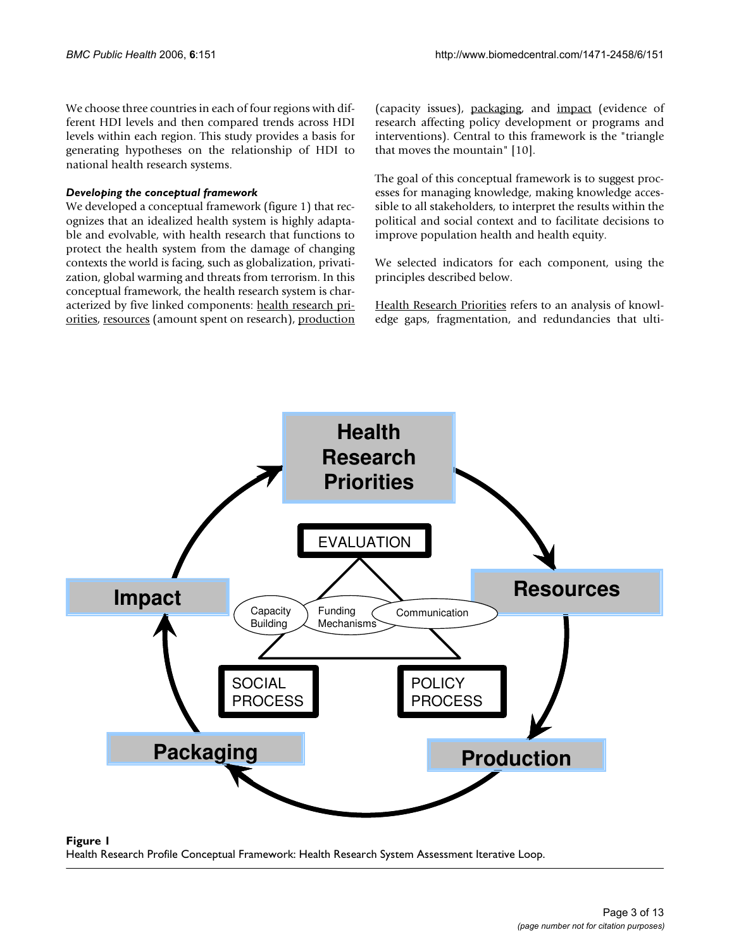We choose three countries in each of four regions with different HDI levels and then compared trends across HDI levels within each region. This study provides a basis for generating hypotheses on the relationship of HDI to national health research systems.

### *Developing the conceptual framework*

We developed a conceptual framework (figure 1) that recognizes that an idealized health system is highly adaptable and evolvable, with health research that functions to protect the health system from the damage of changing contexts the world is facing, such as globalization, privatization, global warming and threats from terrorism. In this conceptual framework, the health research system is characterized by five linked components: health research priorities, resources (amount spent on research), production (capacity issues), packaging, and impact (evidence of research affecting policy development or programs and interventions). Central to this framework is the "triangle that moves the mountain" [10].

The goal of this conceptual framework is to suggest processes for managing knowledge, making knowledge accessible to all stakeholders, to interpret the results within the political and social context and to facilitate decisions to improve population health and health equity.

We selected indicators for each component, using the principles described below.

Health Research Priorities refers to an analysis of knowledge gaps, fragmentation, and redundancies that ulti-



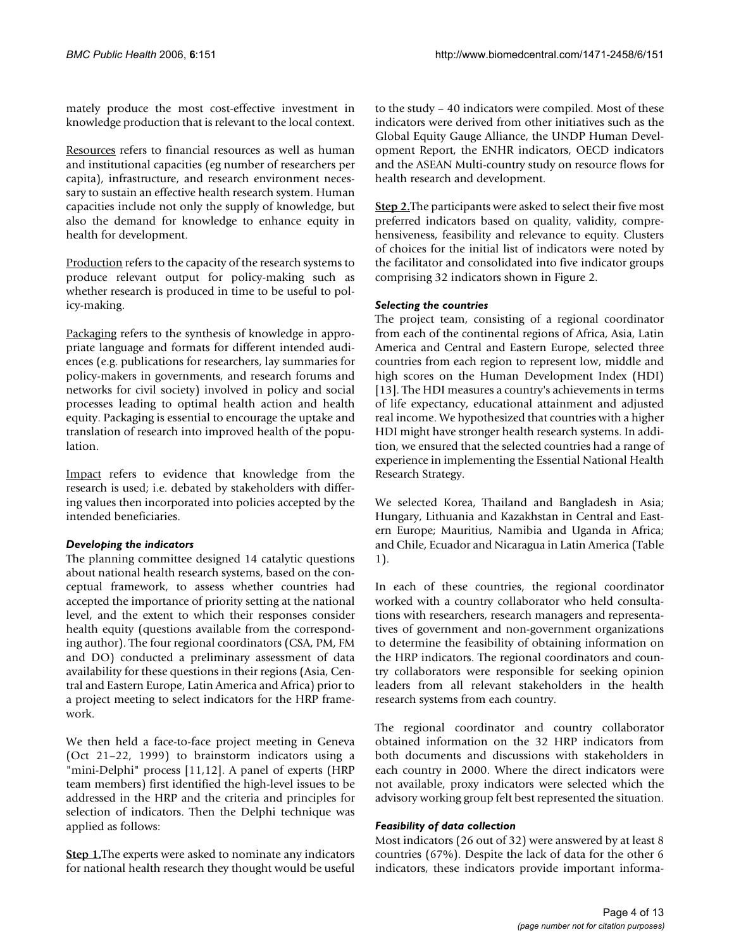mately produce the most cost-effective investment in knowledge production that is relevant to the local context.

Resources refers to financial resources as well as human and institutional capacities (eg number of researchers per capita), infrastructure, and research environment necessary to sustain an effective health research system. Human capacities include not only the supply of knowledge, but also the demand for knowledge to enhance equity in health for development.

Production refers to the capacity of the research systems to produce relevant output for policy-making such as whether research is produced in time to be useful to policy-making.

Packaging refers to the synthesis of knowledge in appropriate language and formats for different intended audiences (e.g. publications for researchers, lay summaries for policy-makers in governments, and research forums and networks for civil society) involved in policy and social processes leading to optimal health action and health equity. Packaging is essential to encourage the uptake and translation of research into improved health of the population.

Impact refers to evidence that knowledge from the research is used; i.e. debated by stakeholders with differing values then incorporated into policies accepted by the intended beneficiaries.

### *Developing the indicators*

The planning committee designed 14 catalytic questions about national health research systems, based on the conceptual framework, to assess whether countries had accepted the importance of priority setting at the national level, and the extent to which their responses consider health equity (questions available from the corresponding author). The four regional coordinators (CSA, PM, FM and DO) conducted a preliminary assessment of data availability for these questions in their regions (Asia, Central and Eastern Europe, Latin America and Africa) prior to a project meeting to select indicators for the HRP framework.

We then held a face-to-face project meeting in Geneva (Oct 21–22, 1999) to brainstorm indicators using a "mini-Delphi" process [11,12]. A panel of experts (HRP team members) first identified the high-level issues to be addressed in the HRP and the criteria and principles for selection of indicators. Then the Delphi technique was applied as follows:

**Step 1.**The experts were asked to nominate any indicators for national health research they thought would be useful

to the study – 40 indicators were compiled. Most of these indicators were derived from other initiatives such as the Global Equity Gauge Alliance, the UNDP Human Development Report, the ENHR indicators, OECD indicators and the ASEAN Multi-country study on resource flows for health research and development.

**Step 2.**The participants were asked to select their five most preferred indicators based on quality, validity, comprehensiveness, feasibility and relevance to equity. Clusters of choices for the initial list of indicators were noted by the facilitator and consolidated into five indicator groups comprising 32 indicators shown in Figure 2.

### *Selecting the countries*

The project team, consisting of a regional coordinator from each of the continental regions of Africa, Asia, Latin America and Central and Eastern Europe, selected three countries from each region to represent low, middle and high scores on the Human Development Index (HDI) [13]. The HDI measures a country's achievements in terms of life expectancy, educational attainment and adjusted real income. We hypothesized that countries with a higher HDI might have stronger health research systems. In addition, we ensured that the selected countries had a range of experience in implementing the Essential National Health Research Strategy.

We selected Korea, Thailand and Bangladesh in Asia; Hungary, Lithuania and Kazakhstan in Central and Eastern Europe; Mauritius, Namibia and Uganda in Africa; and Chile, Ecuador and Nicaragua in Latin America (Table 1).

In each of these countries, the regional coordinator worked with a country collaborator who held consultations with researchers, research managers and representatives of government and non-government organizations to determine the feasibility of obtaining information on the HRP indicators. The regional coordinators and country collaborators were responsible for seeking opinion leaders from all relevant stakeholders in the health research systems from each country.

The regional coordinator and country collaborator obtained information on the 32 HRP indicators from both documents and discussions with stakeholders in each country in 2000. Where the direct indicators were not available, proxy indicators were selected which the advisory working group felt best represented the situation.

### *Feasibility of data collection*

Most indicators (26 out of 32) were answered by at least 8 countries (67%). Despite the lack of data for the other 6 indicators, these indicators provide important informa-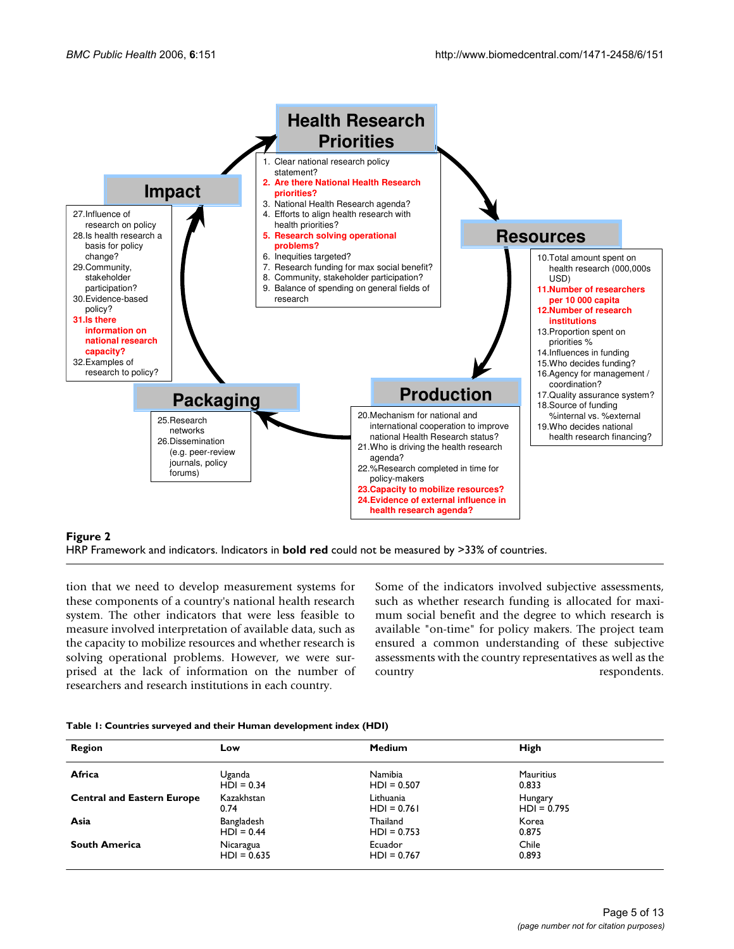

### **Figure 2**

HRP Framework and indicators. Indicators in **bold red** could not be measured by >33% of countries.

tion that we need to develop measurement systems for these components of a country's national health research system. The other indicators that were less feasible to measure involved interpretation of available data, such as the capacity to mobilize resources and whether research is solving operational problems. However, we were surprised at the lack of information on the number of researchers and research institutions in each country.

Some of the indicators involved subjective assessments, such as whether research funding is allocated for maximum social benefit and the degree to which research is available "on-time" for policy makers. The project team ensured a common understanding of these subjective assessments with the country representatives as well as the country respondents.

| Table 1: Countries surveyed and their Human development index (HDI) |  |  |  |
|---------------------------------------------------------------------|--|--|--|
|---------------------------------------------------------------------|--|--|--|

| Region                            | Low           | <b>Medium</b> | High             |
|-----------------------------------|---------------|---------------|------------------|
| Africa                            | Uganda        | Namibia       | <b>Mauritius</b> |
|                                   | $HDI = 0.34$  | $HDI = 0.507$ | 0.833            |
| <b>Central and Eastern Europe</b> | Kazakhstan    | Lithuania     | Hungary          |
|                                   | 0.74          | $HD = 0.761$  | $HD = 0.795$     |
| Asia                              | Bangladesh    | Thailand      | Korea            |
|                                   | $HDI = 0.44$  | $HDI = 0.753$ | 0.875            |
| <b>South America</b>              | Nicaragua     | Ecuador       | Chile            |
|                                   | $HDI = 0.635$ | $HDI = 0.767$ | 0.893            |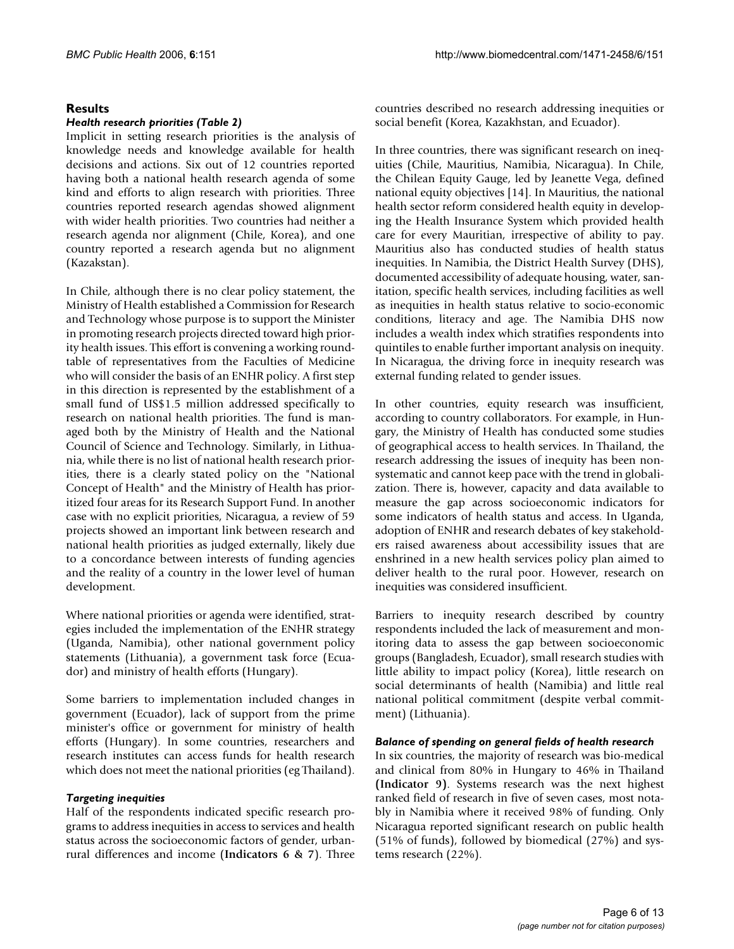### **Results**

### *Health research priorities (Table 2)*

Implicit in setting research priorities is the analysis of knowledge needs and knowledge available for health decisions and actions. Six out of 12 countries reported having both a national health research agenda of some kind and efforts to align research with priorities. Three countries reported research agendas showed alignment with wider health priorities. Two countries had neither a research agenda nor alignment (Chile, Korea), and one country reported a research agenda but no alignment (Kazakstan).

In Chile, although there is no clear policy statement, the Ministry of Health established a Commission for Research and Technology whose purpose is to support the Minister in promoting research projects directed toward high priority health issues. This effort is convening a working roundtable of representatives from the Faculties of Medicine who will consider the basis of an ENHR policy. A first step in this direction is represented by the establishment of a small fund of US\$1.5 million addressed specifically to research on national health priorities. The fund is managed both by the Ministry of Health and the National Council of Science and Technology. Similarly, in Lithuania, while there is no list of national health research priorities, there is a clearly stated policy on the "National Concept of Health" and the Ministry of Health has prioritized four areas for its Research Support Fund. In another case with no explicit priorities, Nicaragua, a review of 59 projects showed an important link between research and national health priorities as judged externally, likely due to a concordance between interests of funding agencies and the reality of a country in the lower level of human development.

Where national priorities or agenda were identified, strategies included the implementation of the ENHR strategy (Uganda, Namibia), other national government policy statements (Lithuania), a government task force (Ecuador) and ministry of health efforts (Hungary).

Some barriers to implementation included changes in government (Ecuador), lack of support from the prime minister's office or government for ministry of health efforts (Hungary). In some countries, researchers and research institutes can access funds for health research which does not meet the national priorities (eg Thailand).

### *Targeting inequities*

Half of the respondents indicated specific research programs to address inequities in access to services and health status across the socioeconomic factors of gender, urbanrural differences and income (**Indicators 6 & 7**). Three countries described no research addressing inequities or social benefit (Korea, Kazakhstan, and Ecuador).

In three countries, there was significant research on inequities (Chile, Mauritius, Namibia, Nicaragua). In Chile, the Chilean Equity Gauge, led by Jeanette Vega, defined national equity objectives [14]. In Mauritius, the national health sector reform considered health equity in developing the Health Insurance System which provided health care for every Mauritian, irrespective of ability to pay. Mauritius also has conducted studies of health status inequities. In Namibia, the District Health Survey (DHS), documented accessibility of adequate housing, water, sanitation, specific health services, including facilities as well as inequities in health status relative to socio-economic conditions, literacy and age. The Namibia DHS now includes a wealth index which stratifies respondents into quintiles to enable further important analysis on inequity. In Nicaragua, the driving force in inequity research was external funding related to gender issues.

In other countries, equity research was insufficient, according to country collaborators. For example, in Hungary, the Ministry of Health has conducted some studies of geographical access to health services. In Thailand, the research addressing the issues of inequity has been nonsystematic and cannot keep pace with the trend in globalization. There is, however, capacity and data available to measure the gap across socioeconomic indicators for some indicators of health status and access. In Uganda, adoption of ENHR and research debates of key stakeholders raised awareness about accessibility issues that are enshrined in a new health services policy plan aimed to deliver health to the rural poor. However, research on inequities was considered insufficient.

Barriers to inequity research described by country respondents included the lack of measurement and monitoring data to assess the gap between socioeconomic groups (Bangladesh, Ecuador), small research studies with little ability to impact policy (Korea), little research on social determinants of health (Namibia) and little real national political commitment (despite verbal commitment) (Lithuania).

#### *Balance of spending on general fields of health research*

In six countries, the majority of research was bio-medical and clinical from 80% in Hungary to 46% in Thailand **(Indicator 9)**. Systems research was the next highest ranked field of research in five of seven cases, most notably in Namibia where it received 98% of funding. Only Nicaragua reported significant research on public health (51% of funds), followed by biomedical (27%) and systems research (22%).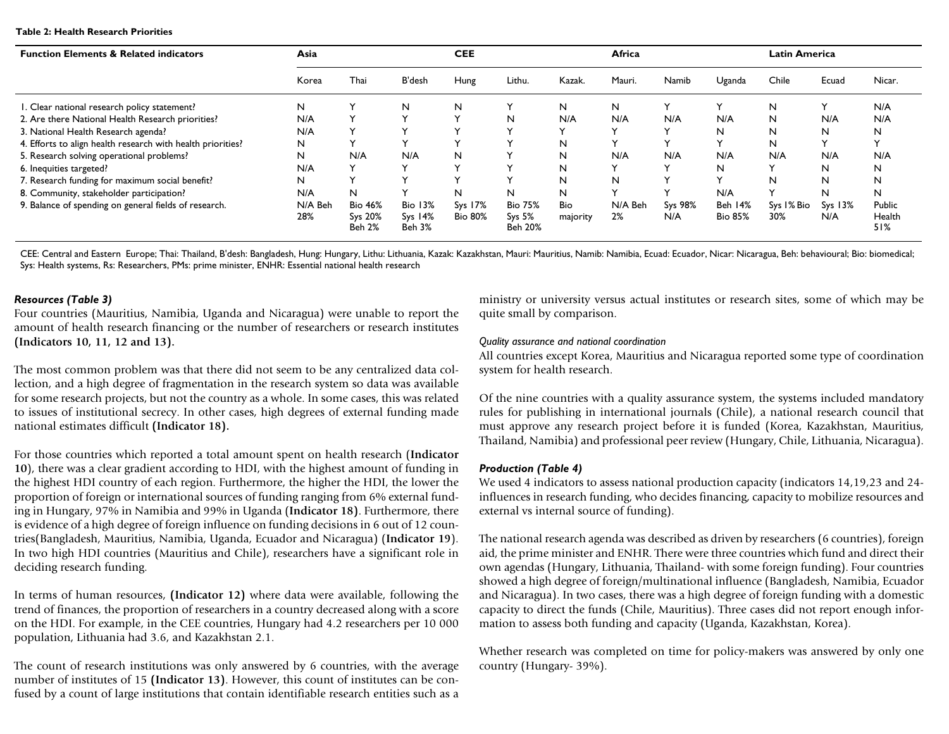#### **Table 2: Health Research Priorities**

| <b>Function Elements &amp; Related indicators</b>           | Asia           |                                     |                                              | <b>CEE</b>                |                                                       |                 | Africa        |                |                           | <b>Latin America</b> |                  |                         |
|-------------------------------------------------------------|----------------|-------------------------------------|----------------------------------------------|---------------------------|-------------------------------------------------------|-----------------|---------------|----------------|---------------------------|----------------------|------------------|-------------------------|
|                                                             | Korea          | Thai                                | <b>B'desh</b>                                | Hung                      | Lithu.                                                | Kazak.          | Mauri.        | Namib          | Uganda                    | Chile                | Ecuad            | Nicar.                  |
| I. Clear national research policy statement?                | N              |                                     | N                                            | N                         |                                                       | N               | N             |                |                           | N                    |                  | N/A                     |
| 2. Are there National Health Research priorities?           | N/A            |                                     | $\checkmark$                                 | $\ddot{}$                 | N                                                     | N/A             | N/A           | N/A            | N/A                       | N                    | N/A              | N/A                     |
| 3. National Health Research agenda?                         | N/A            |                                     |                                              |                           |                                                       |                 |               | $\checkmark$   | N                         | N                    | N                | N                       |
| 4. Efforts to align health research with health priorities? | N              |                                     | $\checkmark$                                 |                           |                                                       | N               |               |                | $\checkmark$              | N                    |                  |                         |
| 5. Research solving operational problems?                   | N              | N/A                                 | N/A                                          | N                         |                                                       | N               | N/A           | N/A            | N/A                       | N/A                  | N/A              | N/A                     |
| 6. Inequities targeted?                                     | N/A            |                                     | $\check{ }$                                  |                           |                                                       | N               |               | $\checkmark$   | N                         |                      | N.               | N                       |
| 7. Research funding for maximum social benefit?             | N              | $\checkmark$                        | $\checkmark$                                 |                           | $\checkmark$                                          | N               | N             | $\checkmark$   | $\checkmark$              | N                    | N                | N                       |
| 8. Community, stakeholder participation?                    | N/A            | N                                   |                                              | N                         | N                                                     | N               |               |                | N/A                       |                      | N                | N.                      |
| 9. Balance of spending on general fields of research.       | N/A Beh<br>28% | <b>Bio 46%</b><br>Sys 20%<br>Beh 2% | <b>Bio 13%</b><br>$Sys$ 14%<br><b>Beh 3%</b> | Sys 17%<br><b>Bio 80%</b> | <b>Bio 75%</b><br>Sys <sub>5%</sub><br><b>Beh 20%</b> | Bio<br>majority | N/A Beh<br>2% | Sys 98%<br>N/A | Beh 14%<br><b>Bio 85%</b> | Sys I% Bio<br>30%    | $Sys$ 13%<br>N/A | Public<br>Health<br>51% |

CEE: Central and Eastern Europe; Thai: Thailand, B'desh: Bangladesh, Hung: Hungary, Lithu: Lithuania, Kazak: Kazakhstan, Mauri: Mauritius, Namib: Namibia, Ecuad: Ecuador, Nicar: Nicaragua, Beh: behavioural; Bio: biomedical; Sys: Health systems, Rs: Researchers, PMs: prime minister, ENHR: Essential national health research

#### *Resources (Table 3)*

Four countries (Mauritius, Namibia, Uganda and Nicaragua) were unable to report the amount of health research financing or the number of researchers or research institutes **(Indicators 10, 11, 12 and 13).**

The most common problem was that there did not seem to be any centralized data collection, and a high degree of fragmentation in the research system so data was available for some research projects, but not the country as a whole. In some cases, this was related to issues of institutional secrecy. In other cases, high degrees of external funding made national estimates difficult **(Indicator 18).**

For those countries which reported a total amount spent on health research (**Indicator 10**), there was a clear gradient according to HDI, with the highest amount of funding in the highest HDI country of each region. Furthermore, the higher the HDI, the lower the proportion of foreign or international sources of funding ranging from 6% external funding in Hungary, 97% in Namibia and 99% in Uganda (**Indicator 18)**. Furthermore, there is evidence of a high degree of foreign influence on funding decisions in 6 out of 12 countries(Bangladesh, Mauritius, Namibia, Uganda, Ecuador and Nicaragua) (**Indicator 19**). In two high HDI countries (Mauritius and Chile), researchers have a significant role in deciding research funding.

In terms of human resources, **(Indicator 12)** where data were available, following the trend of finances, the proportion of researchers in a country decreased along with a score on the HDI. For example, in the CEE countries, Hungary had 4.2 researchers per 10 000 population, Lithuania had 3.6, and Kazakhstan 2.1.

The count of research institutions was only answered by 6 countries, with the average number of institutes of 15 **(Indicator 13)**. However, this count of institutes can be confused by a count of large institutions that contain identifiable research entities such as a ministry or university versus actual institutes or research sites, some of which may be quite small by comparison.

### *Quality assurance and national coordination*

All countries except Korea, Mauritius and Nicaragua reported some type of coordination system for health research.

Of the nine countries with a quality assurance system, the systems included mandatory rules for publishing in international journals (Chile), a national research council that must approve any research project before it is funded (Korea, Kazakhstan, Mauritius, Thailand, Namibia) and professional peer review (Hungary, Chile, Lithuania, Nicaragua).

### *Production (Table 4)*

We used 4 indicators to assess national production capacity (indicators 14,19,23 and 24 influences in research funding, who decides financing, capacity to mobilize resources and external vs internal source of funding).

The national research agenda was described as driven by researchers (6 countries), foreign aid, the prime minister and ENHR. There were three countries which fund and direct their own agendas (Hungary, Lithuania, Thailand- with some foreign funding). Four countries showed a high degree of foreign/multinational influence (Bangladesh, Namibia, Ecuador and Nicaragua). In two cases, there was a high degree of foreign funding with a domestic capacity to direct the funds (Chile, Mauritius). Three cases did not report enough information to assess both funding and capacity (Uganda, Kazakhstan, Korea).

Whether research was completed on time for policy-makers was answered by only one country (Hungary- 39%).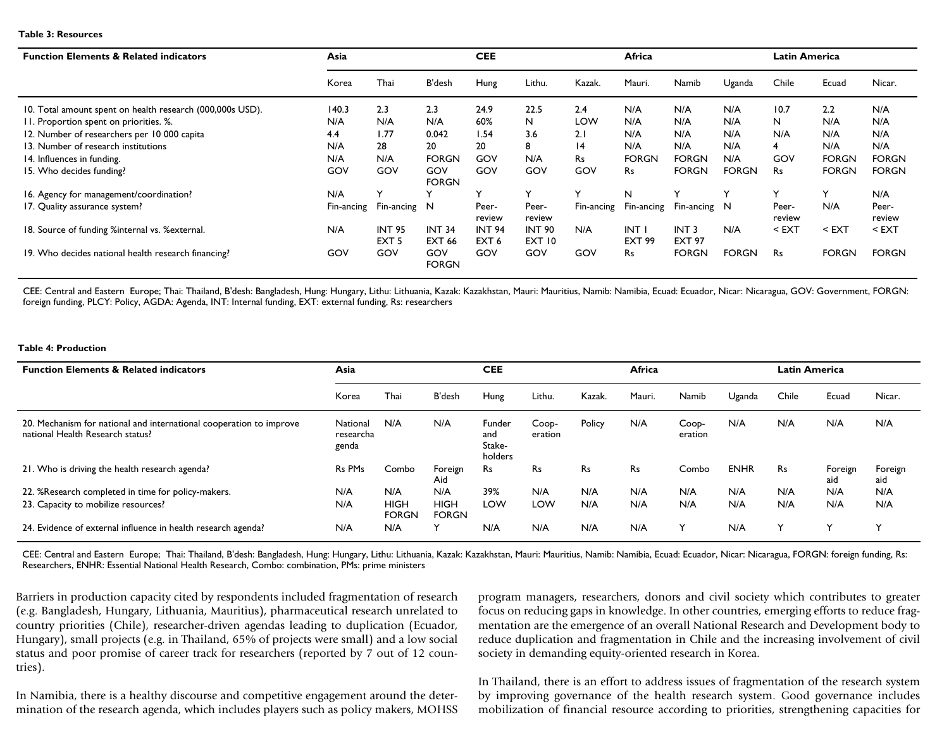#### **Table 3: Resources**

| <b>Function Elements &amp; Related indicators</b>         | Asia       |                                   | <b>CEE</b>                     |                                   |                         | Africa       |                       |                                   | <b>Latin America</b> |                 |              |                 |
|-----------------------------------------------------------|------------|-----------------------------------|--------------------------------|-----------------------------------|-------------------------|--------------|-----------------------|-----------------------------------|----------------------|-----------------|--------------|-----------------|
|                                                           | Korea      | Thai                              | B'desh                         | Hung                              | Lithu.                  | Kazak.       | Mauri.                | Namib                             | Uganda               | Chile           | Ecuad        | Nicar.          |
| 10. Total amount spent on health research (000,000s USD). | 140.3      | 2.3                               | 2.3                            | 24.9                              | 22.5                    | 2.4          | N/A                   | N/A                               | N/A                  | 10.7            | 2.2          | N/A             |
| II. Proportion spent on priorities. %.                    | N/A        | N/A                               | N/A                            | 60%                               | N                       | LOW          | N/A                   | N/A                               | N/A                  | N               | N/A          | N/A             |
| 12. Number of researchers per 10 000 capita               | 4.4        | 1.77                              | 0.042                          | 1.54                              | 3.6                     | 2.1          | N/A                   | N/A                               | N/A                  | N/A             | N/A          | N/A             |
| 13. Number of research institutions                       | N/A        | 28                                | 20                             | 20                                | 8                       | 4            | N/A                   | N/A                               | N/A                  | 4               | N/A          | N/A             |
| 14. Influences in funding.                                | N/A        | N/A                               | <b>FORGN</b>                   | GOV                               | N/A                     | Rs           | <b>FORGN</b>          | <b>FORGN</b>                      | N/A                  | GOV             | <b>FORGN</b> | <b>FORGN</b>    |
| 15. Who decides funding?                                  | GOV        | GOV                               | GOV<br><b>FORGN</b>            | GOV                               | GOV                     | GOV          | Rs                    | <b>FORGN</b>                      | <b>FORGN</b>         | Rs              | <b>FORGN</b> | <b>FORGN</b>    |
| 16. Agency for management/coordination?                   | N/A        |                                   |                                | $\checkmark$                      | $\checkmark$            | $\checkmark$ | N                     | $\check{ }$                       |                      | $\check{ }$     | Y            | N/A             |
| 17. Quality assurance system?                             | Fin-ancing | Fin-ancing N                      |                                | Peer-<br>review                   | Peer-<br>review         | Fin-ancing   | Fin-ancing            | Fin-ancing N                      |                      | Peer-<br>review | N/A          | Peer-<br>review |
| 18. Source of funding %internal vs. % external.           | N/A        | <b>INT 95</b><br>EXT <sub>5</sub> | <b>INT 34</b><br><b>EXT 66</b> | <b>INT 94</b><br>EXT <sub>6</sub> | <b>INT 90</b><br>EXT 10 | N/A          | INT.<br><b>EXT 99</b> | INT <sub>3</sub><br><b>EXT 97</b> | N/A                  | $<$ EXT         | $<$ EXT      | $<$ EXT         |
| 19. Who decides national health research financing?       | GOV        | GOV                               | GOV<br><b>FORGN</b>            | GOV                               | GOV                     | GOV          | Rs                    | <b>FORGN</b>                      | <b>FORGN</b>         | <b>Rs</b>       | <b>FORGN</b> | <b>FORGN</b>    |

CEE: Central and Eastern Europe; Thai: Thailand, B'desh: Bangladesh, Hung: Hungary, Lithu: Lithuania, Kazak: Kazakhstan, Mauri: Mauritius, Namib: Namibia, Ecuador, Nicar: Nicaragua, GOV: Government, FORGN: foreign funding, PLCY: Policy, AGDA: Agenda, INT: Internal funding, EXT: external funding, Rs: researchers

#### **Table 4: Production**

| <b>Function Elements &amp; Related indicators</b>                                                       | Asia                           |                             | <b>CEE</b>                  |                                    |                  | Africa |        |                  | <b>Latin America</b> |           |                |                |
|---------------------------------------------------------------------------------------------------------|--------------------------------|-----------------------------|-----------------------------|------------------------------------|------------------|--------|--------|------------------|----------------------|-----------|----------------|----------------|
|                                                                                                         | Korea                          | Thai                        | B'desh                      | Hung                               | Lithu.           | Kazak. | Mauri. | Namib            | Uganda               | Chile     | Ecuad          | Nicar.         |
| 20. Mechanism for national and international cooperation to improve<br>national Health Research status? | National<br>researcha<br>genda | N/A                         | N/A                         | Funder<br>and<br>Stake-<br>holders | Coop-<br>eration | Policy | N/A    | Coop-<br>eration | N/A                  | N/A       | N/A            | N/A            |
| 21. Who is driving the health research agenda?                                                          | Rs PMs                         | Combo                       | Foreign<br>Aid              | Rs                                 | Rs               | Rs     | Rs     | Combo            | <b>ENHR</b>          | <b>Rs</b> | Foreign<br>aid | Foreign<br>aid |
| 22. %Research completed in time for policy-makers.                                                      | N/A                            | N/A                         | N/A                         | 39%                                | N/A              | N/A    | N/A    | N/A              | N/A                  | N/A       | N/A            | N/A            |
| 23. Capacity to mobilize resources?                                                                     | N/A                            | <b>HIGH</b><br><b>FORGN</b> | <b>HIGH</b><br><b>FORGN</b> | LOW                                | LOW              | N/A    | N/A    | N/A              | N/A                  | N/A       | N/A            | N/A            |
| 24. Evidence of external influence in health research agenda?                                           | N/A                            | N/A                         |                             | N/A                                | N/A              | N/A    | N/A    |                  | N/A                  | Y         |                | $\checkmark$   |

CEE: Central and Eastern Europe; Thai: Thailand, B'desh: Bangladesh, Hung: Hungary, Lithu: Lithuania, Kazak: Kazakhstan, Mauri: Mauritius, Namib: Namibia, Ecuad: Ecuador, Nicar: Nicaragua, FORGN: foreign funding, Rs: Researchers, ENHR: Essential National Health Research, Combo: combination, PMs: prime ministers

Barriers in production capacity cited by respondents included fragmentation of research (e.g. Bangladesh, Hungary, Lithuania, Mauritius), pharmaceutical research unrelated to country priorities (Chile), researcher-driven agendas leading to duplication (Ecuador, Hungary), small projects (e.g. in Thailand, 65% of projects were small) and a low social status and poor promise of career track for researchers (reported by 7 out of 12 countries).

In Namibia, there is a healthy discourse and competitive engagement around the determination of the research agenda, which includes players such as policy makers, MOHSS

program managers, researchers, donors and civil society which contributes to greater focus on reducing gaps in knowledge. In other countries, emerging efforts to reduce fragmentation are the emergence of an overall National Research and Development body to reduce duplication and fragmentation in Chile and the increasing involvement of civil society in demanding equity-oriented research in Korea.

In Thailand, there is an effort to address issues of fragmentation of the research system by improving governance of the health research system. Good governance includes mobilization of financial resource according to priorities, strengthening capacities for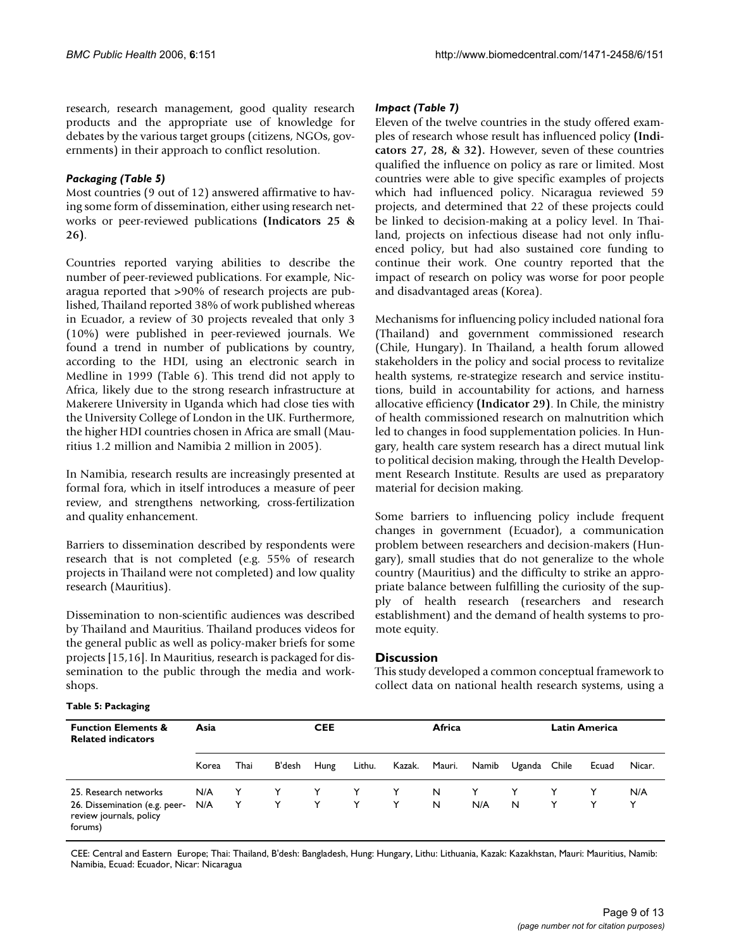research, research management, good quality research products and the appropriate use of knowledge for debates by the various target groups (citizens, NGOs, governments) in their approach to conflict resolution.

### *Packaging (Table 5)*

Most countries (9 out of 12) answered affirmative to having some form of dissemination, either using research networks or peer-reviewed publications **(Indicators 25 & 26)**.

Countries reported varying abilities to describe the number of peer-reviewed publications. For example, Nicaragua reported that >90% of research projects are published, Thailand reported 38% of work published whereas in Ecuador, a review of 30 projects revealed that only 3 (10%) were published in peer-reviewed journals. We found a trend in number of publications by country, according to the HDI, using an electronic search in Medline in 1999 (Table 6). This trend did not apply to Africa, likely due to the strong research infrastructure at Makerere University in Uganda which had close ties with the University College of London in the UK. Furthermore, the higher HDI countries chosen in Africa are small (Mauritius 1.2 million and Namibia 2 million in 2005).

In Namibia, research results are increasingly presented at formal fora, which in itself introduces a measure of peer review, and strengthens networking, cross-fertilization and quality enhancement.

Barriers to dissemination described by respondents were research that is not completed (e.g. 55% of research projects in Thailand were not completed) and low quality research (Mauritius).

Dissemination to non-scientific audiences was described by Thailand and Mauritius. Thailand produces videos for the general public as well as policy-maker briefs for some projects [15,16]. In Mauritius, research is packaged for dissemination to the public through the media and workshops.

### *Impact (Table 7)*

Eleven of the twelve countries in the study offered examples of research whose result has influenced policy **(Indicators 27, 28, & 32).** However, seven of these countries qualified the influence on policy as rare or limited. Most countries were able to give specific examples of projects which had influenced policy. Nicaragua reviewed 59 projects, and determined that 22 of these projects could be linked to decision-making at a policy level. In Thailand, projects on infectious disease had not only influenced policy, but had also sustained core funding to continue their work. One country reported that the impact of research on policy was worse for poor people and disadvantaged areas (Korea).

Mechanisms for influencing policy included national fora (Thailand) and government commissioned research (Chile, Hungary). In Thailand, a health forum allowed stakeholders in the policy and social process to revitalize health systems, re-strategize research and service institutions, build in accountability for actions, and harness allocative efficiency **(Indicator 29)**. In Chile, the ministry of health commissioned research on malnutrition which led to changes in food supplementation policies. In Hungary, health care system research has a direct mutual link to political decision making, through the Health Development Research Institute. Results are used as preparatory material for decision making.

Some barriers to influencing policy include frequent changes in government (Ecuador), a communication problem between researchers and decision-makers (Hungary), small studies that do not generalize to the whole country (Mauritius) and the difficulty to strike an appropriate balance between fulfilling the curiosity of the supply of health research (researchers and research establishment) and the demand of health systems to promote equity.

### **Discussion**

This study developed a common conceptual framework to collect data on national health research systems, using a

**Function Elements & Related indicators Asia CEE Africa Latin America** Korea Thai B'desh Hung Lithu. Kazak. Mauri. Namib Uganda Chile Ecuad Nicar. 25. Research networks N/A Y Y Y Y Y N Y Y Y Y N/A 26. Dissemination (e.g. peerreview journals, policy forums) N/A Y Y Y Y Y N N/A N Y Y Y

CEE: Central and Eastern Europe; Thai: Thailand, B'desh: Bangladesh, Hung: Hungary, Lithu: Lithuania, Kazak: Kazakhstan, Mauri: Mauritius, Namib: Namibia, Ecuad: Ecuador, Nicar: Nicaragua

### **Table 5: Packaging**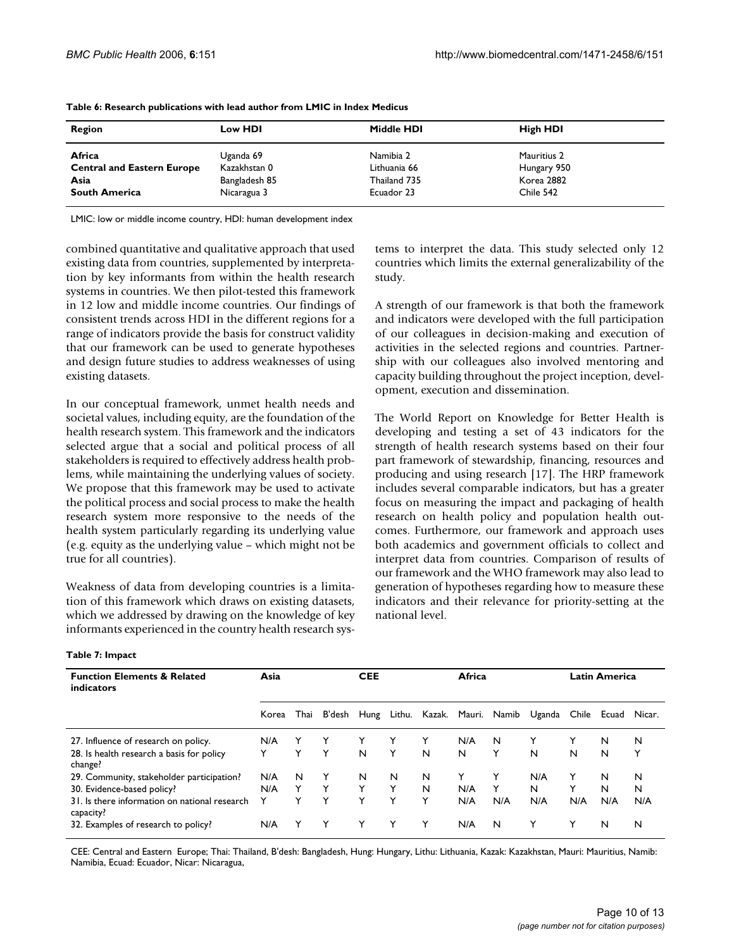| Region                            | Low HDI       | Middle HDI   | High HDI    |  |
|-----------------------------------|---------------|--------------|-------------|--|
| Africa                            | Uganda 69     | Namibia 2    | Mauritius 2 |  |
| <b>Central and Eastern Europe</b> | Kazakhstan 0  | Lithuania 66 | Hungary 950 |  |
| Asia                              | Bangladesh 85 | Thailand 735 | Korea 2882  |  |
| <b>South America</b>              | Nicaragua 3   | Ecuador 23   | Chile 542   |  |

LMIC: low or middle income country, HDI: human development index

combined quantitative and qualitative approach that used existing data from countries, supplemented by interpretation by key informants from within the health research systems in countries. We then pilot-tested this framework in 12 low and middle income countries. Our findings of consistent trends across HDI in the different regions for a range of indicators provide the basis for construct validity that our framework can be used to generate hypotheses and design future studies to address weaknesses of using existing datasets.

In our conceptual framework, unmet health needs and societal values, including equity, are the foundation of the health research system. This framework and the indicators selected argue that a social and political process of all stakeholders is required to effectively address health problems, while maintaining the underlying values of society. We propose that this framework may be used to activate the political process and social process to make the health research system more responsive to the needs of the health system particularly regarding its underlying value (e.g. equity as the underlying value – which might not be true for all countries).

Weakness of data from developing countries is a limitation of this framework which draws on existing datasets, which we addressed by drawing on the knowledge of key informants experienced in the country health research systems to interpret the data. This study selected only 12 countries which limits the external generalizability of the study.

A strength of our framework is that both the framework and indicators were developed with the full participation of our colleagues in decision-making and execution of activities in the selected regions and countries. Partnership with our colleagues also involved mentoring and capacity building throughout the project inception, development, execution and dissemination.

The World Report on Knowledge for Better Health is developing and testing a set of 43 indicators for the strength of health research systems based on their four part framework of stewardship, financing, resources and producing and using research [17]. The HRP framework includes several comparable indicators, but has a greater focus on measuring the impact and packaging of health research on health policy and population health outcomes. Furthermore, our framework and approach uses both academics and government officials to collect and interpret data from countries. Comparison of results of our framework and the WHO framework may also lead to generation of hypotheses regarding how to measure these indicators and their relevance for priority-setting at the national level.

| Table 7: Impact |  |  |
|-----------------|--|--|
|-----------------|--|--|

| <b>Function Elements &amp; Related</b><br>indicators       | Asia  |      |        | Africa<br><b>CEE</b> |        |   |     |                     |              | <b>Latin America</b> |       |        |
|------------------------------------------------------------|-------|------|--------|----------------------|--------|---|-----|---------------------|--------------|----------------------|-------|--------|
|                                                            | Korea | Thai | B'desh | Hung                 | Lithu. |   |     | Kazak. Mauri. Namib | Uganda Chile |                      | Ecuad | Nicar. |
| 27. Influence of research on policy.                       | N/A   |      |        |                      | Y      | Y | N/A | N                   |              | Y                    | N     | N      |
| 28. Is health research a basis for policy<br>change?       | Y     | Y    | Y      | N                    | Y      | N | N   | Y                   | N            | N                    | N     | Y      |
| 29. Community, stakeholder participation?                  | N/A   | N    | Y      | N                    | N      | N |     | Y                   | N/A          | Y                    | N     | N      |
| 30. Evidence-based policy?                                 | N/A   | Y    | Y      | Y                    | Y      | N | N/A |                     | N            | Y                    | N     | N      |
| 31. Is there information on national research<br>capacity? | Y     | Y    | Y      | Y                    | Y      | Y | N/A | N/A                 | N/A          | N/A                  | N/A   | N/A    |
| 32. Examples of research to policy?                        | N/A   | Y    | Y      | Y                    | Y      | Y | N/A | N                   | Y            | Y                    | N     | N      |

CEE: Central and Eastern Europe; Thai: Thailand, B'desh: Bangladesh, Hung: Hungary, Lithu: Lithuania, Kazak: Kazakhstan, Mauri: Mauritius, Namib: Namibia, Ecuad: Ecuador, Nicar: Nicaragua,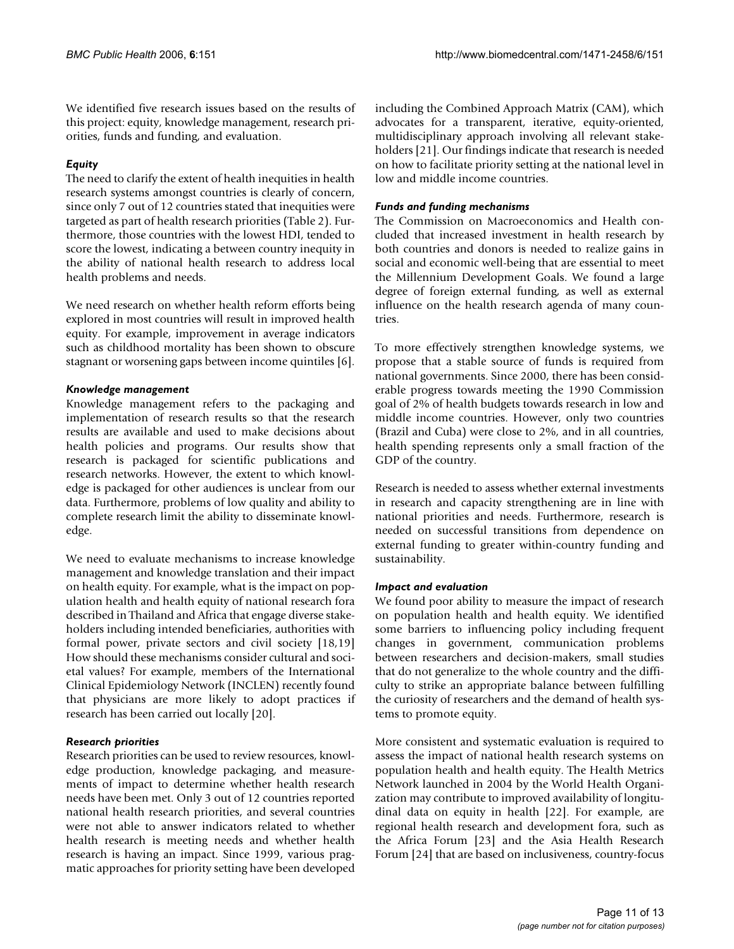We identified five research issues based on the results of this project: equity, knowledge management, research priorities, funds and funding, and evaluation.

### *Equity*

The need to clarify the extent of health inequities in health research systems amongst countries is clearly of concern, since only 7 out of 12 countries stated that inequities were targeted as part of health research priorities (Table 2). Furthermore, those countries with the lowest HDI, tended to score the lowest, indicating a between country inequity in the ability of national health research to address local health problems and needs.

We need research on whether health reform efforts being explored in most countries will result in improved health equity. For example, improvement in average indicators such as childhood mortality has been shown to obscure stagnant or worsening gaps between income quintiles [6].

### *Knowledge management*

Knowledge management refers to the packaging and implementation of research results so that the research results are available and used to make decisions about health policies and programs. Our results show that research is packaged for scientific publications and research networks. However, the extent to which knowledge is packaged for other audiences is unclear from our data. Furthermore, problems of low quality and ability to complete research limit the ability to disseminate knowledge.

We need to evaluate mechanisms to increase knowledge management and knowledge translation and their impact on health equity. For example, what is the impact on population health and health equity of national research fora described in Thailand and Africa that engage diverse stakeholders including intended beneficiaries, authorities with formal power, private sectors and civil society [18,19] How should these mechanisms consider cultural and societal values? For example, members of the International Clinical Epidemiology Network (INCLEN) recently found that physicians are more likely to adopt practices if research has been carried out locally [20].

### *Research priorities*

Research priorities can be used to review resources, knowledge production, knowledge packaging, and measurements of impact to determine whether health research needs have been met. Only 3 out of 12 countries reported national health research priorities, and several countries were not able to answer indicators related to whether health research is meeting needs and whether health research is having an impact. Since 1999, various pragmatic approaches for priority setting have been developed including the Combined Approach Matrix (CAM), which advocates for a transparent, iterative, equity-oriented, multidisciplinary approach involving all relevant stakeholders [21]. Our findings indicate that research is needed on how to facilitate priority setting at the national level in low and middle income countries.

### *Funds and funding mechanisms*

The Commission on Macroeconomics and Health concluded that increased investment in health research by both countries and donors is needed to realize gains in social and economic well-being that are essential to meet the Millennium Development Goals. We found a large degree of foreign external funding, as well as external influence on the health research agenda of many countries.

To more effectively strengthen knowledge systems, we propose that a stable source of funds is required from national governments. Since 2000, there has been considerable progress towards meeting the 1990 Commission goal of 2% of health budgets towards research in low and middle income countries. However, only two countries (Brazil and Cuba) were close to 2%, and in all countries, health spending represents only a small fraction of the GDP of the country.

Research is needed to assess whether external investments in research and capacity strengthening are in line with national priorities and needs. Furthermore, research is needed on successful transitions from dependence on external funding to greater within-country funding and sustainability.

### *Impact and evaluation*

We found poor ability to measure the impact of research on population health and health equity. We identified some barriers to influencing policy including frequent changes in government, communication problems between researchers and decision-makers, small studies that do not generalize to the whole country and the difficulty to strike an appropriate balance between fulfilling the curiosity of researchers and the demand of health systems to promote equity.

More consistent and systematic evaluation is required to assess the impact of national health research systems on population health and health equity. The Health Metrics Network launched in 2004 by the World Health Organization may contribute to improved availability of longitudinal data on equity in health [22]. For example, are regional health research and development fora, such as the Africa Forum [23] and the Asia Health Research Forum [24] that are based on inclusiveness, country-focus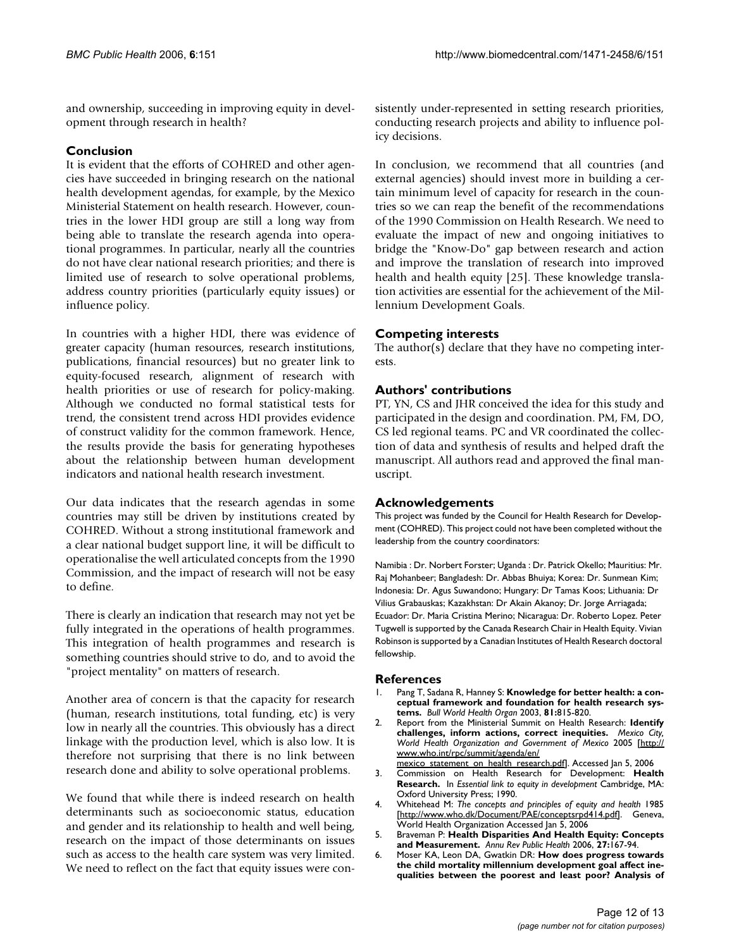and ownership, succeeding in improving equity in development through research in health?

### **Conclusion**

It is evident that the efforts of COHRED and other agencies have succeeded in bringing research on the national health development agendas, for example, by the Mexico Ministerial Statement on health research. However, countries in the lower HDI group are still a long way from being able to translate the research agenda into operational programmes. In particular, nearly all the countries do not have clear national research priorities; and there is limited use of research to solve operational problems, address country priorities (particularly equity issues) or influence policy.

In countries with a higher HDI, there was evidence of greater capacity (human resources, research institutions, publications, financial resources) but no greater link to equity-focused research, alignment of research with health priorities or use of research for policy-making. Although we conducted no formal statistical tests for trend, the consistent trend across HDI provides evidence of construct validity for the common framework. Hence, the results provide the basis for generating hypotheses about the relationship between human development indicators and national health research investment.

Our data indicates that the research agendas in some countries may still be driven by institutions created by COHRED. Without a strong institutional framework and a clear national budget support line, it will be difficult to operationalise the well articulated concepts from the 1990 Commission, and the impact of research will not be easy to define.

There is clearly an indication that research may not yet be fully integrated in the operations of health programmes. This integration of health programmes and research is something countries should strive to do, and to avoid the "project mentality" on matters of research.

Another area of concern is that the capacity for research (human, research institutions, total funding, etc) is very low in nearly all the countries. This obviously has a direct linkage with the production level, which is also low. It is therefore not surprising that there is no link between research done and ability to solve operational problems.

We found that while there is indeed research on health determinants such as socioeconomic status, education and gender and its relationship to health and well being, research on the impact of those determinants on issues such as access to the health care system was very limited. We need to reflect on the fact that equity issues were consistently under-represented in setting research priorities, conducting research projects and ability to influence policy decisions.

In conclusion, we recommend that all countries (and external agencies) should invest more in building a certain minimum level of capacity for research in the countries so we can reap the benefit of the recommendations of the 1990 Commission on Health Research. We need to evaluate the impact of new and ongoing initiatives to bridge the "Know-Do" gap between research and action and improve the translation of research into improved health and health equity [25]. These knowledge translation activities are essential for the achievement of the Millennium Development Goals.

### **Competing interests**

The author(s) declare that they have no competing interests.

### **Authors' contributions**

PT, YN, CS and JHR conceived the idea for this study and participated in the design and coordination. PM, FM, DO, CS led regional teams. PC and VR coordinated the collection of data and synthesis of results and helped draft the manuscript. All authors read and approved the final manuscript.

### **Acknowledgements**

This project was funded by the Council for Health Research for Development (COHRED). This project could not have been completed without the leadership from the country coordinators:

Namibia : Dr. Norbert Forster; Uganda : Dr. Patrick Okello; Mauritius: Mr. Raj Mohanbeer; Bangladesh: Dr. Abbas Bhuiya; Korea: Dr. Sunmean Kim; Indonesia: Dr. Agus Suwandono; Hungary: Dr Tamas Koos; Lithuania: Dr Vilius Grabauskas; Kazakhstan: Dr Akain Akanoy; Dr. Jorge Arriagada; Ecuador: Dr. Maria Cristina Merino; Nicaragua: Dr. Roberto Lopez. Peter Tugwell is supported by the Canada Research Chair in Health Equity. Vivian Robinson is supported by a Canadian Institutes of Health Research doctoral fellowship.

### **References**

- Pang T, Sadana R, Hanney S: [Knowledge for better health: a con](http://www.ncbi.nlm.nih.gov/entrez/query.fcgi?cmd=Retrieve&db=PubMed&dopt=Abstract&list_uids=14758408)**[ceptual framework and foundation for health research sys](http://www.ncbi.nlm.nih.gov/entrez/query.fcgi?cmd=Retrieve&db=PubMed&dopt=Abstract&list_uids=14758408)[tems.](http://www.ncbi.nlm.nih.gov/entrez/query.fcgi?cmd=Retrieve&db=PubMed&dopt=Abstract&list_uids=14758408)** *Bull World Health Organ* 2003, **81:**815-820.
- 2. Report from the Ministerial Summit on Health Research: **Identify challenges, inform actions, correct inequities.** *Mexico City, World Health Organization and Government of Mexico* 2005 [\[http://](http://www.who.int/rpc/summit/agenda/en/mexico_statement_on_health_research.pdf) [www.who.int/rpc/summit/agenda/en/](http://www.who.int/rpc/summit/agenda/en/mexico_statement_on_health_research.pdf)
- [mexico\\_statement\\_on\\_health\\_research.pdf\]](http://www.who.int/rpc/summit/agenda/en/mexico_statement_on_health_research.pdf). Accessed Jan 5, 2006
- 3. Commission on Health Research for Development: **Health Research.** In *Essential link to equity in development* Cambridge, MA: Oxford University Press; 1990.
- 4. Whitehead M: *The concepts and principles of equity and health* 1985 [[http://www.who.dk/Document/PAE/conceptsrpd414.pdf\]](http://www.who.dk/Document/PAE/conceptsrpd414.pdf). Geneva, World Health Organization Accessed Jan 5, 2006
- 5. Braveman P: **[Health Disparities And Health Equity: Concepts](http://www.ncbi.nlm.nih.gov/entrez/query.fcgi?cmd=Retrieve&db=PubMed&dopt=Abstract&list_uids=16533114) [and Measurement.](http://www.ncbi.nlm.nih.gov/entrez/query.fcgi?cmd=Retrieve&db=PubMed&dopt=Abstract&list_uids=16533114)** *Annu Rev Public Health* 2006, **27:**167-94.
- 6. Moser KA, Leon DA, Gwatkin DR: **[How does progress towards](http://www.ncbi.nlm.nih.gov/entrez/query.fcgi?cmd=Retrieve&db=PubMed&dopt=Abstract&list_uids=16284209) [the child mortality millennium development goal affect ine](http://www.ncbi.nlm.nih.gov/entrez/query.fcgi?cmd=Retrieve&db=PubMed&dopt=Abstract&list_uids=16284209)[qualities between the poorest and least poor? Analysis of](http://www.ncbi.nlm.nih.gov/entrez/query.fcgi?cmd=Retrieve&db=PubMed&dopt=Abstract&list_uids=16284209)**